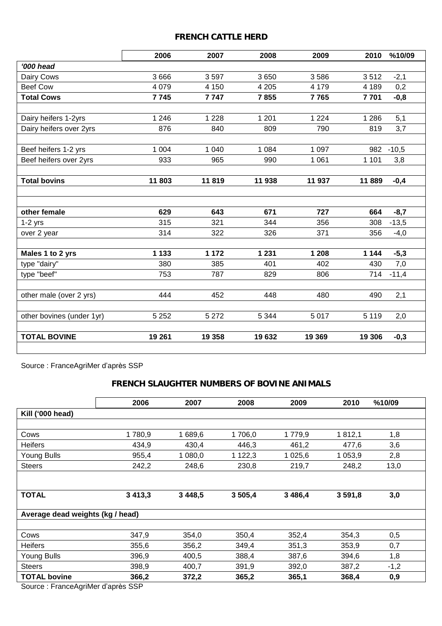### *FRENCH CATTLE HERD*

| 2006    | 2007                                             | 2008                                             | 2009                                              | 2010                                           | %10/09                                           |
|---------|--------------------------------------------------|--------------------------------------------------|---------------------------------------------------|------------------------------------------------|--------------------------------------------------|
|         |                                                  |                                                  |                                                   |                                                |                                                  |
| 3666    | 3597                                             | 3650                                             | 3586                                              | 3512                                           | $-2,1$                                           |
| 4 0 7 9 | 4 1 5 0                                          | 4 2 0 5                                          | 4 1 7 9                                           | 4 1 8 9                                        | 0,2                                              |
| 7745    | 7747                                             | 7855                                             | 7765                                              | 7701                                           | $-0,8$                                           |
|         |                                                  |                                                  |                                                   |                                                |                                                  |
|         |                                                  |                                                  |                                                   |                                                | 5,1                                              |
|         |                                                  |                                                  |                                                   |                                                | 3,7                                              |
| 1 0 0 4 | 1 0 4 0                                          | 1 0 8 4                                          | 1 0 9 7                                           | 982                                            | $-10,5$                                          |
| 933     | 965                                              | 990                                              | 1 0 6 1                                           | 1 1 0 1                                        | 3,8                                              |
|         |                                                  |                                                  |                                                   |                                                | $-0,4$                                           |
|         |                                                  |                                                  |                                                   |                                                |                                                  |
|         |                                                  |                                                  |                                                   |                                                |                                                  |
|         |                                                  |                                                  |                                                   |                                                | $-8,7$                                           |
|         |                                                  |                                                  |                                                   |                                                | $-13,5$                                          |
| 314     | 322                                              | 326                                              | 371                                               | 356                                            | $-4,0$                                           |
| 1 1 3 3 | 1 172                                            | 1 2 3 1                                          | 1 208                                             | 1 1 4 4                                        | $-5,3$                                           |
| 380     | 385                                              | 401                                              | 402                                               | 430                                            | 7,0                                              |
| 753     | 787                                              | 829                                              | 806                                               | 714                                            | $-11,4$                                          |
| 444     | 452                                              | 448                                              | 480                                               | 490                                            | 2,1                                              |
|         |                                                  |                                                  |                                                   |                                                |                                                  |
|         |                                                  |                                                  |                                                   |                                                | 2,0                                              |
| 19 261  | 19 358                                           | 19632                                            | 19 369                                            | 19 306                                         | $-0,3$                                           |
|         | 1 2 4 6<br>876<br>11803<br>629<br>315<br>5 2 5 2 | 1 2 2 8<br>840<br>11819<br>643<br>321<br>5 2 7 2 | 1 2 0 1<br>809<br>11 938<br>671<br>344<br>5 3 4 4 | 1 2 2 4<br>790<br>11 937<br>727<br>356<br>5017 | 1 2 8 6<br>819<br>11889<br>664<br>308<br>5 1 1 9 |

Source : FranceAgriMer d'après SSP

# *FRENCH SLAUGHTER NUMBERS OF BOVINE ANIMALS*

|                                   | 2006        | 2007        | 2008       | 2009       | 2010    | %10/09 |  |  |  |
|-----------------------------------|-------------|-------------|------------|------------|---------|--------|--|--|--|
| Kill ('000 head)                  |             |             |            |            |         |        |  |  |  |
|                                   |             |             |            |            |         |        |  |  |  |
| Cows                              | 1780,9      | 1689,6      | 1706,0     | 1779,9     | 1812,1  | 1,8    |  |  |  |
| <b>Heifers</b>                    | 434,9       | 430,4       | 446,3      | 461,2      | 477,6   | 3,6    |  |  |  |
| Young Bulls                       | 955,4       | 1 080,0     | 1 1 2 2, 3 | 1 025,6    | 1 053,9 | 2,8    |  |  |  |
| <b>Steers</b>                     | 242,2       | 248,6       | 230,8      | 219,7      | 248,2   | 13,0   |  |  |  |
|                                   |             |             |            |            |         |        |  |  |  |
| <b>TOTAL</b>                      | 3 4 1 3 , 3 | 3 4 4 8 , 5 | 3505,4     | 3 4 8 6, 4 | 3591,8  | 3,0    |  |  |  |
| Average dead weights (kg / head)  |             |             |            |            |         |        |  |  |  |
|                                   |             |             |            |            |         |        |  |  |  |
| Cows                              | 347,9       | 354,0       | 350,4      | 352,4      | 354,3   | 0,5    |  |  |  |
| <b>Heifers</b>                    | 355,6       | 356,2       | 349,4      | 351,3      | 353,9   | 0,7    |  |  |  |
| <b>Young Bulls</b>                | 396,9       | 400,5       | 388,4      | 387,6      | 394,6   | 1,8    |  |  |  |
| <b>Steers</b>                     | 398,9       | 400,7       | 391,9      | 392,0      | 387,2   | $-1,2$ |  |  |  |
| <b>TOTAL bovine</b>               | 366,2       | 372,2       | 365,2      | 365,1      | 368,4   | 0,9    |  |  |  |
| Source: FranceAgriMer d'après SSP |             |             |            |            |         |        |  |  |  |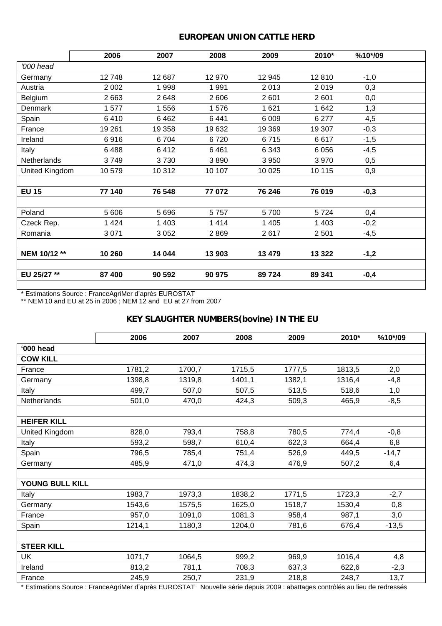## *EUROPEAN UNION CATTLE HERD*

|                | 2006    | 2007    | 2008   | 2009    | 2010*   | %10*/09 |  |
|----------------|---------|---------|--------|---------|---------|---------|--|
| '000 head      |         |         |        |         |         |         |  |
| Germany        | 12748   | 12 687  | 12 970 | 12 945  | 12810   | $-1,0$  |  |
| Austria        | 2 0 0 2 | 1998    | 1991   | 2013    | 2019    | 0,3     |  |
| Belgium        | 2663    | 2648    | 2606   | 2 601   | 2 601   | 0,0     |  |
| Denmark        | 1577    | 1556    | 1576   | 1621    | 1 642   | 1,3     |  |
| Spain          | 6410    | 6462    | 6441   | 6 0 0 9 | 6 277   | 4,5     |  |
| France         | 19 261  | 19 358  | 19632  | 19 3 69 | 19 307  | $-0,3$  |  |
| Ireland        | 6916    | 6704    | 6720   | 6715    | 6617    | $-1,5$  |  |
| Italy          | 6488    | 6412    | 6461   | 6 3 4 3 | 6 0 5 6 | $-4,5$  |  |
| Netherlands    | 3749    | 3730    | 3890   | 3 9 5 0 | 3970    | 0,5     |  |
| United Kingdom | 10579   | 10 312  | 10 107 | 10 0 25 | 10 115  | 0,9     |  |
|                |         |         |        |         |         |         |  |
| <b>EU 15</b>   | 77 140  | 76 548  | 77072  | 76 246  | 76 019  | $-0,3$  |  |
|                |         |         |        |         |         |         |  |
| Poland         | 5 606   | 5696    | 5757   | 5700    | 5724    | 0,4     |  |
| Czeck Rep.     | 1 4 2 4 | 1 4 0 3 | 1414   | 1 4 0 5 | 1 4 0 3 | $-0,2$  |  |
| Romania        | 3071    | 3 0 5 2 | 2869   | 2617    | 2 5 0 1 | $-4,5$  |  |
|                |         |         |        |         |         |         |  |
| NEM 10/12 **   | 10 260  | 14 044  | 13 903 | 13 479  | 13 3 22 | $-1,2$  |  |
|                |         |         |        |         |         |         |  |
| EU 25/27 **    | 87 400  | 90 592  | 90 975 | 89724   | 89 341  | $-0,4$  |  |

\* Estimations Source : FranceAgriMer d'après EUROSTAT

\*\* NEM 10 and EU at 25 in 2006 ; NEM 12 and EU at 27 from 2007

# *KEY SLAUGHTER NUMBERS(bovine) IN THE EU*

| 1781,2 | 1700,7 | 1715,5 | 1777,5 | 1813,5 | 2,0                                                                                                                             |
|--------|--------|--------|--------|--------|---------------------------------------------------------------------------------------------------------------------------------|
| 1398,8 | 1319,8 | 1401,1 | 1382,1 | 1316,4 | $-4,8$                                                                                                                          |
| 499,7  | 507,0  | 507,5  | 513,5  | 518,6  | 1,0                                                                                                                             |
| 501,0  | 470,0  | 424,3  | 509,3  | 465,9  | $-8,5$                                                                                                                          |
|        |        |        |        |        |                                                                                                                                 |
|        |        |        |        |        |                                                                                                                                 |
| 828,0  | 793,4  | 758,8  | 780,5  | 774,4  | $-0,8$                                                                                                                          |
| 593,2  | 598.7  | 610,4  | 622,3  | 664,4  | 6,8                                                                                                                             |
| 796,5  | 785,4  | 751,4  | 526,9  | 449,5  | $-14,7$                                                                                                                         |
| 485,9  | 471,0  | 474,3  | 476,9  | 507,2  | 6,4                                                                                                                             |
|        |        |        |        |        |                                                                                                                                 |
|        |        |        |        |        |                                                                                                                                 |
| 1983,7 | 1973,3 | 1838,2 | 1771,5 | 1723,3 | $-2,7$                                                                                                                          |
| 1543,6 | 1575,5 | 1625,0 | 1518,7 | 1530,4 | 0,8                                                                                                                             |
| 957,0  | 1091,0 | 1081,3 | 958,4  | 987,1  | 3,0                                                                                                                             |
| 1214,1 | 1180,3 | 1204,0 | 781,6  | 676,4  | $-13,5$                                                                                                                         |
|        |        |        |        |        |                                                                                                                                 |
|        |        |        |        |        |                                                                                                                                 |
| 1071,7 | 1064,5 | 999,2  | 969,9  | 1016,4 | 4,8                                                                                                                             |
| 813,2  | 781,1  | 708,3  | 637,3  | 622,6  | $-2,3$                                                                                                                          |
| 245,9  | 250,7  | 231,9  | 218,8  | 248,7  | 13,7                                                                                                                            |
|        |        |        |        |        | * Estimations Source : France Agriller d'anrès ELIPOSTAT, Nouvelle série depuis 2009 : abattages contrôlés au lieu de redressés |

\* Estimations Source : FranceAgriMer d'après EUROSTAT Nouvelle série depuis 2009 : abattages contrôlés au lieu de redressés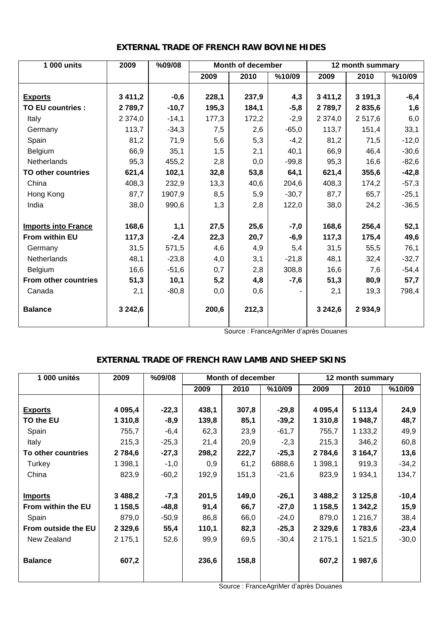| $\overline{1}$ 000 units    | 2009        | %09/08  | <b>Month of december</b> |       |         | 12 month summary |        |         |
|-----------------------------|-------------|---------|--------------------------|-------|---------|------------------|--------|---------|
|                             |             |         | 2009                     | 2010  | %10/09  | 2009             | 2010   | %10/09  |
|                             |             |         |                          |       |         |                  |        |         |
| <b>Exports</b>              | 3 4 1 1 , 2 | $-0,6$  | 228,1                    | 237,9 | 4,3     | 3 4 1 1 , 2      | 3191,3 | $-6,4$  |
| <b>TO EU countries:</b>     | 2789,7      | $-10,7$ | 195,3                    | 184,1 | $-5,8$  | 2 789,7          | 2835,6 | 1,6     |
| Italy                       | 2 374,0     | $-14,1$ | 177,3                    | 172,2 | $-2,9$  | 2 374,0          | 2517,6 | 6,0     |
| Germany                     | 113,7       | $-34,3$ | 7,5                      | 2,6   | $-65,0$ | 113,7            | 151,4  | 33,1    |
| Spain                       | 81,2        | 71,9    | 5,6                      | 5,3   | $-4,2$  | 81,2             | 71,5   | $-12,0$ |
| Belgium                     | 66,9        | 35,1    | 1,5                      | 2,1   | 40,1    | 66,9             | 46,4   | $-30,6$ |
| Netherlands                 | 95,3        | 455,2   | 2,8                      | 0,0   | $-99,8$ | 95,3             | 16,6   | $-82,6$ |
| <b>TO other countries</b>   | 621,4       | 102,1   | 32,8                     | 53,8  | 64,1    | 621,4            | 355,6  | $-42,8$ |
| China                       | 408,3       | 232,9   | 13,3                     | 40,6  | 204,6   | 408,3            | 174,2  | $-57,3$ |
| Hong Kong                   | 87,7        | 1907,9  | 8,5                      | 5,9   | $-30,7$ | 87,7             | 65,7   | $-25,1$ |
| India                       | 38,0        | 990,6   | 1,3                      | 2,8   | 122,0   | 38,0             | 24,2   | $-36,5$ |
|                             |             |         |                          |       |         |                  |        |         |
| <b>Imports into France</b>  | 168,6       | 1,1     | 27,5                     | 25,6  | $-7,0$  | 168,6            | 256,4  | 52,1    |
| From within EU              | 117,3       | $-2,4$  | 22,3                     | 20,7  | $-6,9$  | 117,3            | 175,4  | 49,6    |
| Germany                     | 31,5        | 571,5   | 4,6                      | 4,9   | 5,4     | 31,5             | 55,5   | 76,1    |
| Netherlands                 | 48,1        | $-23,8$ | 4,0                      | 3,1   | $-21,8$ | 48,1             | 32,4   | $-32,7$ |
| Belgium                     | 16,6        | $-51,6$ | 0,7                      | 2,8   | 308,8   | 16,6             | 7,6    | $-54,4$ |
| <b>From other countries</b> | 51,3        | 10,1    | 5,2                      | 4,8   | $-7,6$  | 51,3             | 80,9   | 57,7    |
| Canada                      | 2,1         | $-80,8$ | 0,0                      | 0,6   |         | 2,1              | 19,3   | 798,4   |
| <b>Balance</b>              | 3 242,6     |         | 200,6                    | 212,3 |         | 3 242,6          | 2934,9 |         |

#### *EXTERNAL TRADE OF FRENCH RAW BOVINE HIDES*

Source : FranceAgriMer d'après Douanes

#### *EXTERNAL TRADE OF FRENCH RAW LAMB AND SHEEP SKINS*

| 1 000 unités        | 2009       | %09/08  |       | Month of december |         |             | 12 month summary |         |
|---------------------|------------|---------|-------|-------------------|---------|-------------|------------------|---------|
|                     |            |         | 2009  | 2010              | %10/09  | 2009        | 2010             | %10/09  |
|                     |            |         |       |                   |         |             |                  |         |
| <b>Exports</b>      | 4 0 9 5,4  | $-22,3$ | 438,1 | 307,8             | $-29,8$ | 4 0 9 5 , 4 | 5 113,4          | 24,9    |
| TO the EU           | 1 3 1 0,8  | $-8,9$  | 139,8 | 85,1              | $-39,2$ | 1 3 1 0,8   | 1948,7           | 48,7    |
| Spain               | 755,7      | $-6,4$  | 62,3  | 23,9              | $-61,7$ | 755,7       | 1 133,2          | 49,9    |
| Italy               | 215,3      | $-25,3$ | 21,4  | 20,9              | $-2,3$  | 215,3       | 346,2            | 60,8    |
| To other countries  | 2 7 8 4, 6 | $-27,3$ | 298,2 | 222,7             | $-25,3$ | 2 7 8 4,6   | 3 164,7          | 13,6    |
| Turkey              | 1 398,1    | $-1,0$  | 0,9   | 61,2              | 6888,6  | 1 398,1     | 919,3            | $-34,2$ |
| China               | 823,9      | $-60,2$ | 192,9 | 151,3             | $-21,6$ | 823,9       | 1 934,1          | 134,7   |
|                     |            |         |       |                   |         |             |                  |         |
| <b>Imports</b>      | 3 4 8 8, 2 | $-7,3$  | 201,5 | 149,0             | $-26,1$ | 3 4 8 8, 2  | 3 1 2 5 , 8      | $-10,4$ |
| From within the EU  | 1 158,5    | $-48,8$ | 91,4  | 66,7              | $-27,0$ | 1 158,5     | 1 342,2          | 15,9    |
| Spain               | 879,0      | $-50,9$ | 86,8  | 66,0              | $-24,0$ | 879,0       | 1 216,7          | 38,4    |
| From outside the EU | 2 3 2 9, 6 | 55,4    | 110,1 | 82,3              | $-25,3$ | 2 3 2 9,6   | 1783,6           | $-23,4$ |
| New Zealand         | 2 175,1    | 52,6    | 99,9  | 69,5              | $-30,4$ | 2 175,1     | 1 521,5          | $-30,0$ |
|                     |            |         |       |                   |         |             |                  |         |
| <b>Balance</b>      | 607,2      |         | 236,6 | 158,8             |         | 607,2       | 1987,6           |         |
|                     |            |         |       |                   |         |             |                  |         |
|                     |            |         |       |                   |         |             |                  |         |

Source : FranceAgriMer d'après Douanes